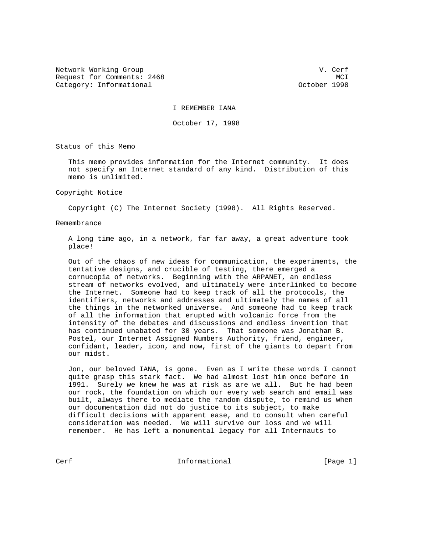Network Working Group and the contract of the U.S. Cerf of the U.S. Cerf of the U.S. Cerf of the U.S. Cerf of the U.S. Cerf of the U.S. Cerf of the U.S. Cerf of the U.S. Cerf of the U.S. Cerf of the U.S. Cerf of the U.S. C Request for Comments: 2468 MCI Category: Informational and Category: Informational category: October 1998

I REMEMBER IANA

October 17, 1998

Status of this Memo

 This memo provides information for the Internet community. It does not specify an Internet standard of any kind. Distribution of this memo is unlimited.

## Copyright Notice

Copyright (C) The Internet Society (1998). All Rights Reserved.

## Remembrance

 A long time ago, in a network, far far away, a great adventure took place!

 Out of the chaos of new ideas for communication, the experiments, the tentative designs, and crucible of testing, there emerged a cornucopia of networks. Beginning with the ARPANET, an endless stream of networks evolved, and ultimately were interlinked to become the Internet. Someone had to keep track of all the protocols, the identifiers, networks and addresses and ultimately the names of all the things in the networked universe. And someone had to keep track of all the information that erupted with volcanic force from the intensity of the debates and discussions and endless invention that has continued unabated for 30 years. That someone was Jonathan B. Postel, our Internet Assigned Numbers Authority, friend, engineer, confidant, leader, icon, and now, first of the giants to depart from our midst.

 Jon, our beloved IANA, is gone. Even as I write these words I cannot quite grasp this stark fact. We had almost lost him once before in 1991. Surely we knew he was at risk as are we all. But he had been our rock, the foundation on which our every web search and email was built, always there to mediate the random dispute, to remind us when our documentation did not do justice to its subject, to make difficult decisions with apparent ease, and to consult when careful consideration was needed. We will survive our loss and we will remember. He has left a monumental legacy for all Internauts to

Cerf **Informational** Informational [Page 1]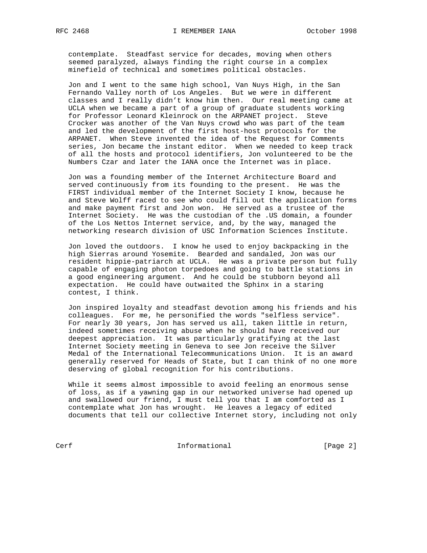contemplate. Steadfast service for decades, moving when others seemed paralyzed, always finding the right course in a complex minefield of technical and sometimes political obstacles.

 Jon and I went to the same high school, Van Nuys High, in the San Fernando Valley north of Los Angeles. But we were in different classes and I really didn't know him then. Our real meeting came at UCLA when we became a part of a group of graduate students working for Professor Leonard Kleinrock on the ARPANET project. Steve Crocker was another of the Van Nuys crowd who was part of the team and led the development of the first host-host protocols for the ARPANET. When Steve invented the idea of the Request for Comments series, Jon became the instant editor. When we needed to keep track of all the hosts and protocol identifiers, Jon volunteered to be the Numbers Czar and later the IANA once the Internet was in place.

 Jon was a founding member of the Internet Architecture Board and served continuously from its founding to the present. He was the FIRST individual member of the Internet Society I know, because he and Steve Wolff raced to see who could fill out the application forms and make payment first and Jon won. He served as a trustee of the Internet Society. He was the custodian of the .US domain, a founder of the Los Nettos Internet service, and, by the way, managed the networking research division of USC Information Sciences Institute.

 Jon loved the outdoors. I know he used to enjoy backpacking in the high Sierras around Yosemite. Bearded and sandaled, Jon was our resident hippie-patriarch at UCLA. He was a private person but fully capable of engaging photon torpedoes and going to battle stations in a good engineering argument. And he could be stubborn beyond all expectation. He could have outwaited the Sphinx in a staring contest, I think.

 Jon inspired loyalty and steadfast devotion among his friends and his colleagues. For me, he personified the words "selfless service". For nearly 30 years, Jon has served us all, taken little in return, indeed sometimes receiving abuse when he should have received our deepest appreciation. It was particularly gratifying at the last Internet Society meeting in Geneva to see Jon receive the Silver Medal of the International Telecommunications Union. It is an award generally reserved for Heads of State, but I can think of no one more deserving of global recognition for his contributions.

 While it seems almost impossible to avoid feeling an enormous sense of loss, as if a yawning gap in our networked universe had opened up and swallowed our friend, I must tell you that I am comforted as I contemplate what Jon has wrought. He leaves a legacy of edited documents that tell our collective Internet story, including not only

Cerf Cerf Informational [Page 2]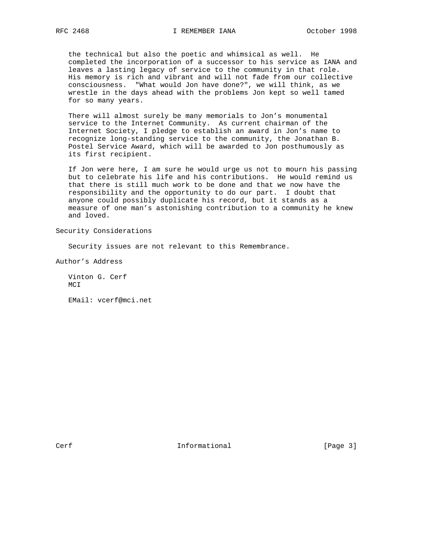the technical but also the poetic and whimsical as well. He completed the incorporation of a successor to his service as IANA and leaves a lasting legacy of service to the community in that role. His memory is rich and vibrant and will not fade from our collective consciousness. "What would Jon have done?", we will think, as we wrestle in the days ahead with the problems Jon kept so well tamed for so many years.

 There will almost surely be many memorials to Jon's monumental service to the Internet Community. As current chairman of the Internet Society, I pledge to establish an award in Jon's name to recognize long-standing service to the community, the Jonathan B. Postel Service Award, which will be awarded to Jon posthumously as its first recipient.

 If Jon were here, I am sure he would urge us not to mourn his passing but to celebrate his life and his contributions. He would remind us that there is still much work to be done and that we now have the responsibility and the opportunity to do our part. I doubt that anyone could possibly duplicate his record, but it stands as a measure of one man's astonishing contribution to a community he knew and loved.

Security Considerations

Security issues are not relevant to this Remembrance.

Author's Address

 Vinton G. Cerf MCI

EMail: vcerf@mci.net

Cerf **Informational** [Page 3]